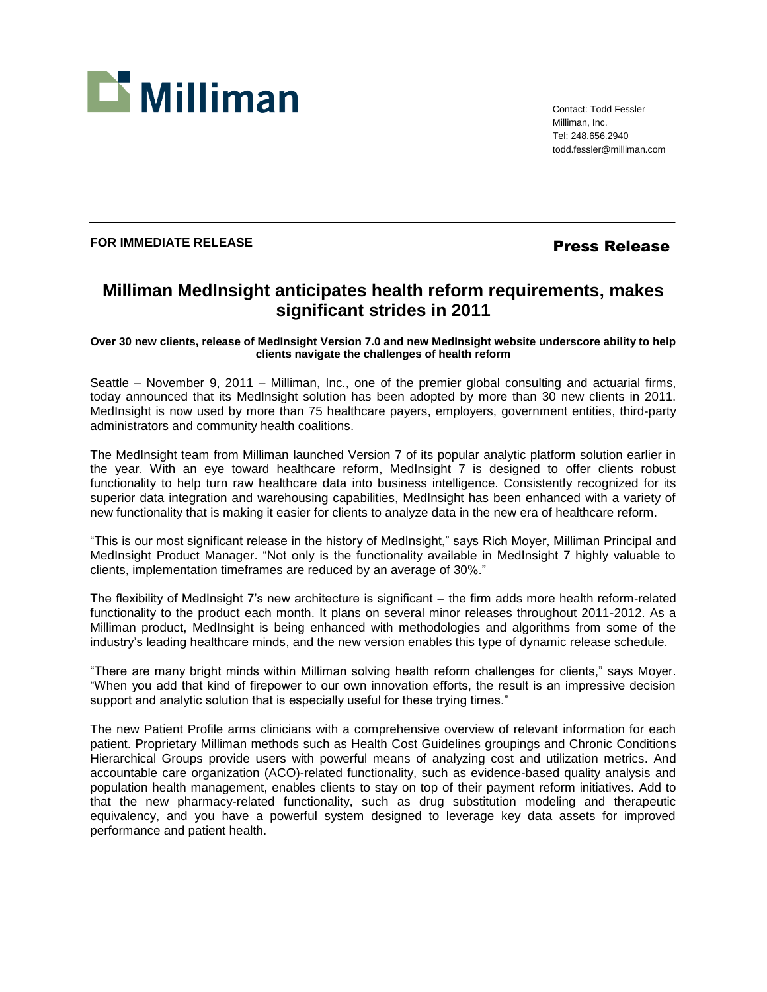

Contact: Todd Fessler Milliman, Inc. Tel: 248.656.2940 todd.fessler@milliman.com

## FOR IMMEDIATE RELEASE **FOR IMMEDIATE RELEASE**

## **Milliman MedInsight anticipates health reform requirements, makes significant strides in 2011**

**Over 30 new clients, release of MedInsight Version 7.0 and new MedInsight website underscore ability to help clients navigate the challenges of health reform**

Seattle – November 9, 2011 – Milliman, Inc., one of the premier global consulting and actuarial firms, today announced that its MedInsight solution has been adopted by more than 30 new clients in 2011. MedInsight is now used by more than 75 healthcare payers, employers, government entities, third-party administrators and community health coalitions.

The MedInsight team from Milliman launched Version 7 of its popular analytic platform solution earlier in the year. With an eye toward healthcare reform, MedInsight 7 is designed to offer clients robust functionality to help turn raw healthcare data into business intelligence. Consistently recognized for its superior data integration and warehousing capabilities, MedInsight has been enhanced with a variety of new functionality that is making it easier for clients to analyze data in the new era of healthcare reform.

"This is our most significant release in the history of MedInsight," says Rich Moyer, Milliman Principal and MedInsight Product Manager. "Not only is the functionality available in MedInsight 7 highly valuable to clients, implementation timeframes are reduced by an average of 30%."

The flexibility of MedInsight 7's new architecture is significant – the firm adds more health reform-related functionality to the product each month. It plans on several minor releases throughout 2011-2012. As a Milliman product, MedInsight is being enhanced with methodologies and algorithms from some of the industry's leading healthcare minds, and the new version enables this type of dynamic release schedule.

"There are many bright minds within Milliman solving health reform challenges for clients," says Moyer. "When you add that kind of firepower to our own innovation efforts, the result is an impressive decision support and analytic solution that is especially useful for these trying times."

The new Patient Profile arms clinicians with a comprehensive overview of relevant information for each patient. Proprietary Milliman methods such as Health Cost Guidelines groupings and Chronic Conditions Hierarchical Groups provide users with powerful means of analyzing cost and utilization metrics. And accountable care organization (ACO)-related functionality, such as evidence-based quality analysis and population health management, enables clients to stay on top of their payment reform initiatives. Add to that the new pharmacy-related functionality, such as drug substitution modeling and therapeutic equivalency, and you have a powerful system designed to leverage key data assets for improved performance and patient health.